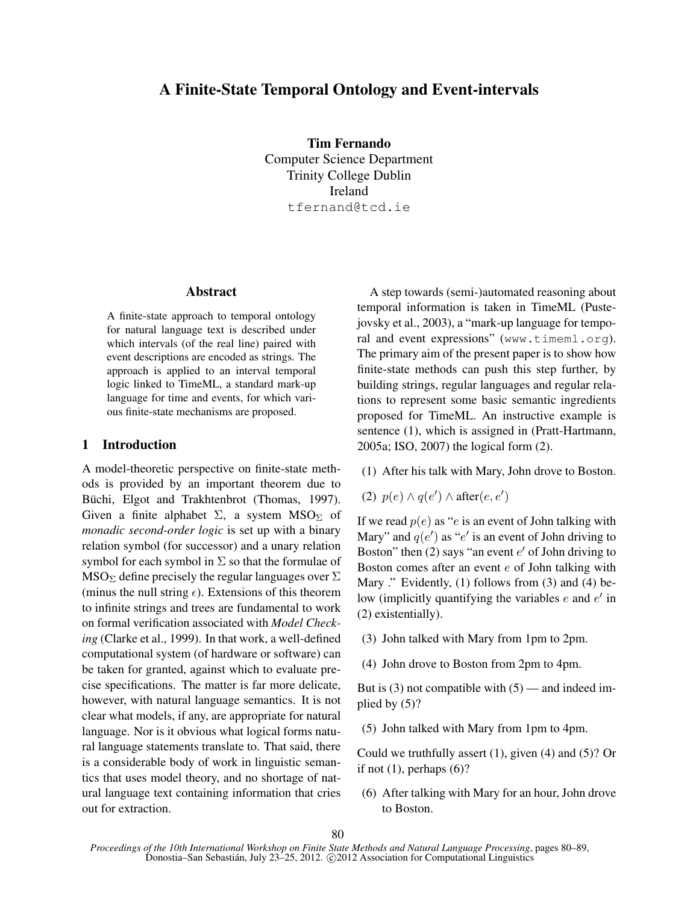# A Finite-State Temporal Ontology and Event-intervals

Tim Fernando Computer Science Department Trinity College Dublin Ireland tfernand@tcd.ie

#### Abstract

A finite-state approach to temporal ontology for natural language text is described under which intervals (of the real line) paired with event descriptions are encoded as strings. The approach is applied to an interval temporal logic linked to TimeML, a standard mark-up language for time and events, for which various finite-state mechanisms are proposed.

## 1 Introduction

A model-theoretic perspective on finite-state methods is provided by an important theorem due to Büchi, Elgot and Trakhtenbrot (Thomas, 1997). Given a finite alphabet  $\Sigma$ , a system MSO<sub>Σ</sub> of *monadic second-order logic* is set up with a binary relation symbol (for successor) and a unary relation symbol for each symbol in  $\Sigma$  so that the formulae of  $MSO_{\Sigma}$  define precisely the regular languages over  $\Sigma$ (minus the null string  $\epsilon$ ). Extensions of this theorem to infinite strings and trees are fundamental to work on formal verification associated with *Model Checking* (Clarke et al., 1999). In that work, a well-defined computational system (of hardware or software) can be taken for granted, against which to evaluate precise specifications. The matter is far more delicate, however, with natural language semantics. It is not clear what models, if any, are appropriate for natural language. Nor is it obvious what logical forms natural language statements translate to. That said, there is a considerable body of work in linguistic semantics that uses model theory, and no shortage of natural language text containing information that cries out for extraction.

A step towards (semi-)automated reasoning about temporal information is taken in TimeML (Pustejovsky et al., 2003), a "mark-up language for temporal and event expressions" (www.timeml.org). The primary aim of the present paper is to show how finite-state methods can push this step further, by building strings, regular languages and regular relations to represent some basic semantic ingredients proposed for TimeML. An instructive example is sentence (1), which is assigned in (Pratt-Hartmann, 2005a; ISO, 2007) the logical form (2).

- (1) After his talk with Mary, John drove to Boston.
- (2)  $p(e) \wedge q(e') \wedge \text{after}(e, e')$

If we read  $p(e)$  as "e is an event of John talking with Mary" and  $q(e')$  as "e' is an event of John driving to Boston" then (2) says "an event  $e'$  of John driving to Boston comes after an event  $e$  of John talking with Mary ." Evidently, (1) follows from (3) and (4) below (implicitly quantifying the variables  $e$  and  $e'$  in (2) existentially).

- (3) John talked with Mary from 1pm to 2pm.
- (4) John drove to Boston from 2pm to 4pm.

But is  $(3)$  not compatible with  $(5)$  — and indeed implied by (5)?

(5) John talked with Mary from 1pm to 4pm.

Could we truthfully assert (1), given (4) and (5)? Or if not  $(1)$ , perhaps  $(6)$ ?

(6) After talking with Mary for an hour, John drove to Boston.

*Proceedings of the 10th International Workshop on Finite State Methods and Natural Language Processing*, pages 80–89, Donostia–San Sebastián, July 23–25, 2012. © 2012 Association for Computational Linguistics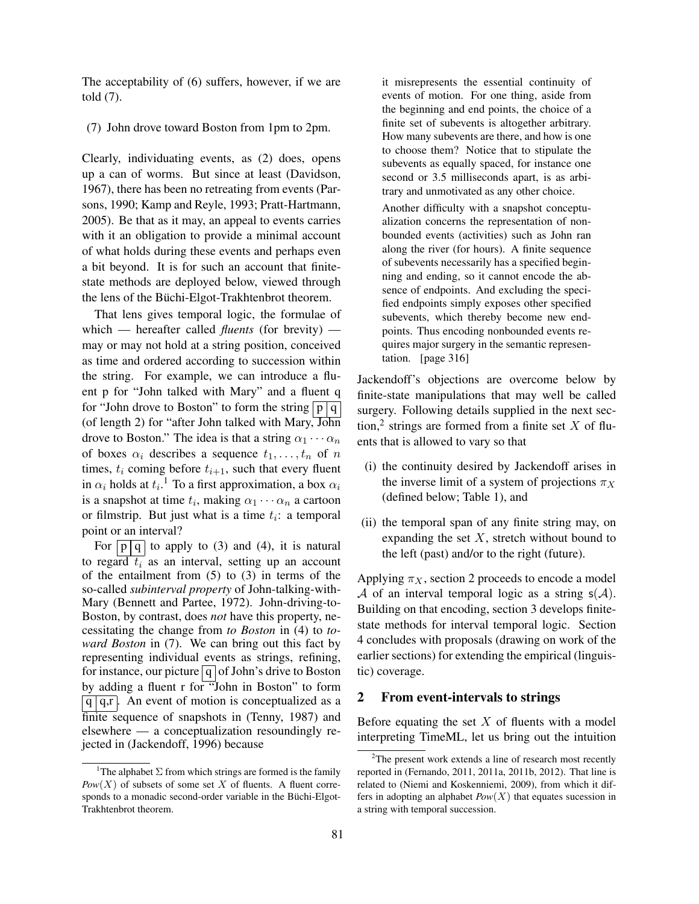The acceptability of (6) suffers, however, if we are told (7).

(7) John drove toward Boston from 1pm to 2pm.

Clearly, individuating events, as (2) does, opens up a can of worms. But since at least (Davidson, 1967), there has been no retreating from events (Parsons, 1990; Kamp and Reyle, 1993; Pratt-Hartmann, 2005). Be that as it may, an appeal to events carries with it an obligation to provide a minimal account of what holds during these events and perhaps even a bit beyond. It is for such an account that finitestate methods are deployed below, viewed through the lens of the Büchi-Elgot-Trakhtenbrot theorem.

That lens gives temporal logic, the formulae of which — hereafter called *fluents* (for brevity) may or may not hold at a string position, conceived as time and ordered according to succession within the string. For example, we can introduce a fluent p for "John talked with Mary" and a fluent q for "John drove to Boston" to form the string  $\boxed{p \, q}$ (of length 2) for "after John talked with Mary, John drove to Boston." The idea is that a string  $\alpha_1 \cdots \alpha_n$ of boxes  $\alpha_i$  describes a sequence  $t_1, \ldots, t_n$  of n times,  $t_i$  coming before  $t_{i+1}$ , such that every fluent in  $\alpha_i$  holds at  $t_i$ .<sup>1</sup> To a first approximation, a box  $\alpha_i$ is a snapshot at time  $t_i$ , making  $\alpha_1 \cdots \alpha_n$  a cartoon or filmstrip. But just what is a time  $t_i$ : a temporal point or an interval?

For  $\boxed{p \, q}$  to apply to (3) and (4), it is natural to regard  $t_i$  as an interval, setting up an account of the entailment from (5) to (3) in terms of the so-called *subinterval property* of John-talking-with-Mary (Bennett and Partee, 1972). John-driving-to-Boston, by contrast, does *not* have this property, necessitating the change from *to Boston* in (4) to *toward Boston* in (7). We can bring out this fact by representing individual events as strings, refining, for instance, our picture  $q$  of John's drive to Boston by adding a fluent r for "John in Boston" to form  $\boxed{q \mid q,r}$ . An event of motion is conceptualized as a finite sequence of snapshots in (Tenny, 1987) and elsewhere — a conceptualization resoundingly rejected in (Jackendoff, 1996) because

it misrepresents the essential continuity of events of motion. For one thing, aside from the beginning and end points, the choice of a finite set of subevents is altogether arbitrary. How many subevents are there, and how is one to choose them? Notice that to stipulate the subevents as equally spaced, for instance one second or 3.5 milliseconds apart, is as arbitrary and unmotivated as any other choice. Another difficulty with a snapshot conceptu-

alization concerns the representation of nonbounded events (activities) such as John ran along the river (for hours). A finite sequence of subevents necessarily has a specified beginning and ending, so it cannot encode the absence of endpoints. And excluding the specified endpoints simply exposes other specified subevents, which thereby become new endpoints. Thus encoding nonbounded events requires major surgery in the semantic representation. [page 316]

Jackendoff's objections are overcome below by finite-state manipulations that may well be called surgery. Following details supplied in the next section,<sup>2</sup> strings are formed from a finite set  $X$  of fluents that is allowed to vary so that

- (i) the continuity desired by Jackendoff arises in the inverse limit of a system of projections  $\pi_X$ (defined below; Table 1), and
- (ii) the temporal span of any finite string may, on expanding the set  $X$ , stretch without bound to the left (past) and/or to the right (future).

Applying  $\pi_X$ , section 2 proceeds to encode a model A of an interval temporal logic as a string  $s(A)$ . Building on that encoding, section 3 develops finitestate methods for interval temporal logic. Section 4 concludes with proposals (drawing on work of the earlier sections) for extending the empirical (linguistic) coverage.

### 2 From event-intervals to strings

Before equating the set  $X$  of fluents with a model interpreting TimeML, let us bring out the intuition

<sup>&</sup>lt;sup>1</sup>The alphabet  $\Sigma$  from which strings are formed is the family  $Pow(X)$  of subsets of some set X of fluents. A fluent corresponds to a monadic second-order variable in the Büchi-Elgot-Trakhtenbrot theorem.

<sup>&</sup>lt;sup>2</sup>The present work extends a line of research most recently reported in (Fernando, 2011, 2011a, 2011b, 2012). That line is related to (Niemi and Koskenniemi, 2009), from which it differs in adopting an alphabet  $Pow(X)$  that equates sucession in a string with temporal succession.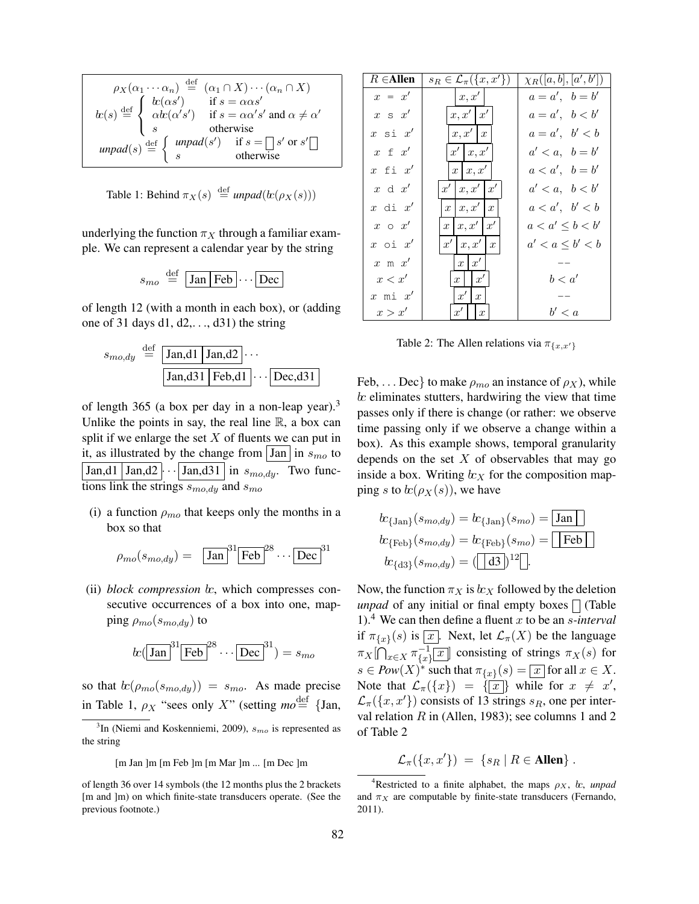$$
\rho_X(\alpha_1 \cdots \alpha_n) \stackrel{\text{def}}{=} (\alpha_1 \cap X) \cdots (\alpha_n \cap X)
$$
  
\n
$$
lc(s) \stackrel{\text{def}}{=} \begin{cases} lc(\alpha s') & \text{if } s = \alpha \alpha s' \\ \alpha tc(\alpha' s') & \text{if } s = \alpha \alpha' s' \text{ and } \alpha \neq \alpha' \\ s & \text{otherwise} \end{cases}
$$
  
\n
$$
unpad(s) \stackrel{\text{def}}{=} \begin{cases} unpad(s') & \text{if } s = \square s' \text{ or } s' \square \\ s & \text{otherwise} \end{cases}
$$

Table 1: Behind  $\pi_X(s) \stackrel{\text{def}}{=} \text{unpad}(k(\rho_X(s)))$ 

underlying the function  $\pi_X$  through a familiar example. We can represent a calendar year by the string

$$
s_{mo} \stackrel{\text{def}}{=} \boxed{\text{Jan} \, \text{Feb}} \cdots \boxed{\text{Dec}}
$$

of length 12 (with a month in each box), or (adding one of 31 days d1, d2,. . ., d31) the string

$$
s_{mo,dy} \stackrel{\text{def}}{=} \boxed{\text{Jan,d1} \mid \text{Jan,d2}} \cdots
$$

$$
\boxed{\text{Jan,d31} \mid \text{Feb,d1}} \cdots \boxed{\text{Dec,d31}}
$$

of length 365 (a box per day in a non-leap year).<sup>3</sup> Unlike the points in say, the real line  $\mathbb{R}$ , a box can split if we enlarge the set  $X$  of fluents we can put in it, as illustrated by the change from  $|$  Jan  $|$  in  $s_{mo}$  to  $\boxed{\text{Jan,d1}}$   $\boxed{\text{Jan,d2}}$   $\cdots$   $\boxed{\text{Jan,d31}}$  in  $s_{mo,dy}$ . Two functions link the strings  $s_{mo,du}$  and  $s_{mo}$ 

(i) a function  $\rho_{mo}$  that keeps only the months in a box so that

$$
\rho_{mo}(s_{mo,dy}) = \left[\text{Jan}\right]^{31} \left[\text{Feb}\right]^{28} \cdots \left[\text{Dec}\right]^{31}
$$

 $(ii) block compression k$ , which compresses consecutive occurrences of a box into one, mapping  $\rho_{mo}(s_{mo,dy})$  to

$$
bc(\boxed{\text{Jan}}^{31}\boxed{\text{Feb}}^{28}\cdots\boxed{\text{Dec}}^{31})=s_{mo}
$$

so that  $\alpha(\rho_{mo}(s_{mo,du})) = s_{mo}$ . As made precise in Table 1,  $\rho_X$  "sees only X" (setting  $mo \stackrel{\text{def}}{=} \{ Jan,$ 

| $R \in$ Allen        | $s_R \in \mathcal{L}_{\pi}(\{x, x'\})$         | $\chi_R([a, b], [a', b'])$ |
|----------------------|------------------------------------------------|----------------------------|
| $x = x'$             | $\vert x,x'\vert$                              | $a=a', b=b'$               |
| $x \text{ s } x'$    | x, x'   x'                                     | $a=a', b$                  |
| $x \sin x'$          | x, x'   x                                      | $a = a', b' < b$           |
| $x \in x'$           | x'   x, x'                                     | $a' < a, b = b'$           |
| $x$ fi $x'$          | $x \mid x, x' \mid$                            | $a < a', b = b'$           |
| $x \alpha x'$        | x'   x, x'   x'                                | a' < a, b < b'             |
| $x$ di $x'$          | $x \mid x, x' \mid x$                          | a < a', b' < b             |
| $x \circ x'$         | $\lfloor x, x' \rfloor x'$<br>$\boldsymbol{x}$ | $a < a' \leq b < b'$       |
| $x \circ i \quad x'$ | $x' \mid x, x'$<br>$\boldsymbol{x}$            | $a' < a \leq b' < b$       |
| $x \mod x'$          | $x \mid x' \mid$                               |                            |
| x < x'               | $x \mid x'$                                    | b < a'                     |
| $x \text{ mi} x'$    | $\vert x' \vert$<br>$\boldsymbol{x}$           |                            |
| x > x'               | $x' \mid x$                                    | b' < a                     |

Table 2: The Allen relations via  $\pi_{\lbrace x, x'\rbrace}$ 

Feb, ... Dec} to make  $\rho_{mo}$  an instance of  $\rho_X$ ), while  $\alpha$  eliminates stutters, hardwiring the view that time passes only if there is change (or rather: we observe time passing only if we observe a change within a box). As this example shows, temporal granularity depends on the set  $X$  of observables that may go inside a box. Writing  $kx$  for the composition mapping s to  $\frac{bc}{\rho_X(s)}$ , we have

$$
tc_{\text{Jan}}(s_{mo,dy}) = tc_{\text{Jan}}(s_{mo}) = \boxed{\text{Jan}}
$$

$$
tc_{\text{Feb}}(s_{mo,dy}) = tc_{\text{Feb}}(s_{mo}) = \boxed{\text{Feb}}
$$

$$
tc_{\text{dd3}}(s_{mo,dy}) = (\boxed{\text{d3}})^{12} \boxed{.}
$$

Now, the function  $\pi_X$  is  $k_X$  followed by the deletion *unpad* of any initial or final empty boxes  $\Box$  (Table 1).<sup>4</sup> We can then define a fluent x to be an *s*-interval if  $\pi_{\{x\}}(s)$  is  $\boxed{x}$ . Next, let  $\mathcal{L}_{\pi}(X)$  be the language  $\pi_X[\bigcap_{x\in X}\pi_{\{x\}}^{-1}$  $\frac{-1}{x}$  consisting of strings  $\pi_X(s)$  for  $s \in Pow(X)^*$  such that  $\pi_{\{x\}}(s) = \boxed{x}$  for all  $x \in X$ . Note that  $\mathcal{L}_{\pi}(\{x\}) = {\{\overline{x}\}}$  while for  $x \neq x'$ ,  $\mathcal{L}_{\pi}(\lbrace x, x' \rbrace)$  consists of 13 strings  $s_R$ , one per interval relation  $R$  in (Allen, 1983); see columns 1 and 2 of Table 2

 $\mathcal{L}_{\pi}(\{x, x'\}) = \{s_R | R \in \text{Allen}\}\.$ 

 ${}^{3}$ In (Niemi and Koskenniemi, 2009),  $s_{mo}$  is represented as the string

<sup>[</sup>m Jan ]m [m Feb ]m [m Mar ]m ... [m Dec ]m

of length 36 over 14 symbols (the 12 months plus the 2 brackets [m and ]m) on which finite-state transducers operate. (See the previous footnote.)

<sup>&</sup>lt;sup>4</sup>Restricted to a finite alphabet, the maps  $\rho_X$ , *kc*, *unpad* and  $\pi_X$  are computable by finite-state transducers (Fernando, 2011).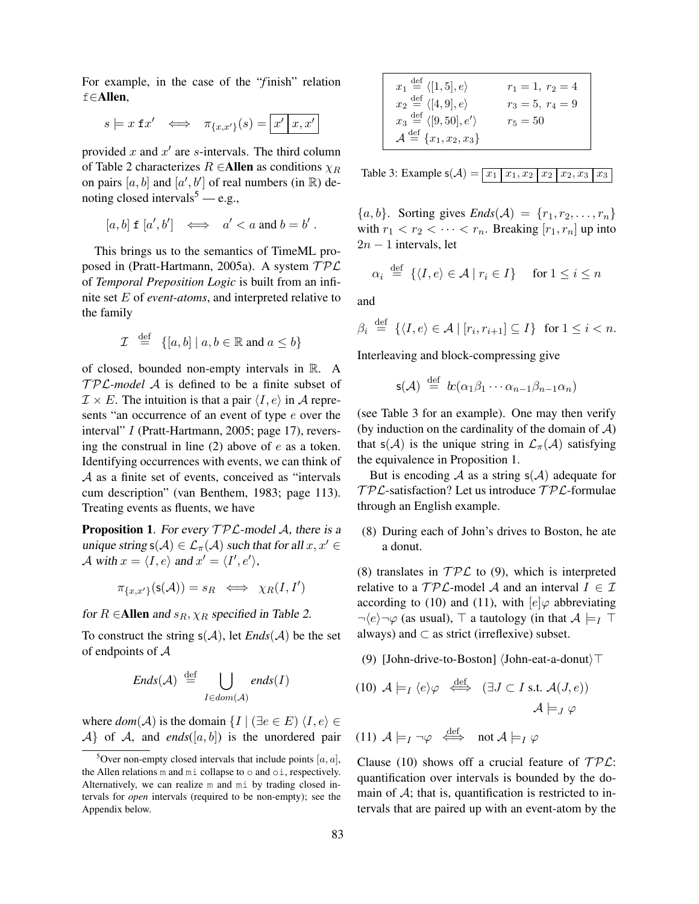For example, in the case of the "*f* inish" relation f∈Allen,

$$
s \models x \mathrel{\mathbf{f}} x' \iff \pi_{\{x,x'\}}(s) = \boxed{x' \mid x,x'}
$$

provided x and  $x'$  are s-intervals. The third column of Table 2 characterizes  $R \in$ Allen as conditions  $\chi_R$ on pairs  $[a, b]$  and  $[a', b']$  of real numbers (in  $\mathbb{R}$ ) denoting closed intervals<sup>5</sup> — e.g.,

$$
[a, b] \mathbf{f} [a', b'] \iff a' < a \text{ and } b = b'.
$$

This brings us to the semantics of TimeML proposed in (Pratt-Hartmann, 2005a). A system  $\mathcal{TPL}$ of *Temporal Preposition Logic* is built from an infinite set E of *event-atoms*, and interpreted relative to the family

$$
\mathcal{I} \stackrel{\text{def}}{=} \{ [a, b] \mid a, b \in \mathbb{R} \text{ and } a \le b \}
$$

of closed, bounded non-empty intervals in R. A  $TPL$ -model A is defined to be a finite subset of  $\mathcal{I} \times E$ . The intuition is that a pair  $\langle I, e \rangle$  in A represents "an occurrence of an event of type e over the interval" I (Pratt-Hartmann, 2005; page 17), reversing the construal in line  $(2)$  above of e as a token. Identifying occurrences with events, we can think of A as a finite set of events, conceived as "intervals cum description" (van Benthem, 1983; page 113). Treating events as fluents, we have

**Proposition 1.** For every  $\mathcal{TPL}$ -model A, there is a unique string  $s(A) \in \mathcal{L}_{\pi}(\mathcal{A})$  such that for all  $x, x' \in \mathcal{A}$ A with  $x = \langle I, e \rangle$  and  $x' = \langle I', e' \rangle$ ,

$$
\pi_{\{x,x'\}}(\mathsf{s}(\mathcal{A})) = s_R \iff \chi_R(I,I')
$$

for  $R \in$ Allen and  $s_R$ ,  $\chi_R$  specified in Table 2.

To construct the string  $s(A)$ , let *Ends*(*A*) be the set of endpoints of A

$$
Ends(\mathcal{A}) \stackrel{\text{def}}{=} \bigcup_{I \in dom(\mathcal{A})} ends(I)
$$

where  $dom(\mathcal{A})$  is the domain  $\{I \mid (\exists e \in E) \langle I, e \rangle \in$  $\mathcal{A}$  of  $\mathcal{A}$ , and *ends*([a, b]) is the unordered pair

| $x_1 \stackrel{\text{def}}{=} \langle [1,5], e \rangle$    | $r_1 = 1, r_2 = 4$ |
|------------------------------------------------------------|--------------------|
| $x_2 \stackrel{\text{def}}{=} \langle [4,9], e \rangle$    | $r_3 = 5, r_4 = 9$ |
| $x_3 \stackrel{\text{def}}{=} \langle [9, 50], e' \rangle$ | $r_5 = 50$         |
| $\mathcal{A} \stackrel{\text{def}}{=} \{x_1, x_2, x_3\}$   |                    |

Table 3: Example  $s(A) = x_1 | x_1, x_2 | x_2 | x_3, x_3 | x_3$ 

 ${a, b}$ . Sorting gives  $Ends(\mathcal{A}) = {r_1, r_2, \ldots, r_n}$ with  $r_1 < r_2 < \cdots < r_n$ . Breaking  $[r_1, r_n]$  up into  $2n - 1$  intervals, let

$$
\alpha_i \stackrel{\text{def}}{=} \{ \langle I, e \rangle \in \mathcal{A} \mid r_i \in I \} \quad \text{for } 1 \le i \le n
$$

and

$$
\beta_i \stackrel{\text{def}}{=} \{ \langle I, e \rangle \in \mathcal{A} \mid [r_i, r_{i+1}] \subseteq I \} \text{ for } 1 \leq i < n.
$$

Interleaving and block-compressing give

$$
\mathsf{s}(\mathcal{A}) \stackrel{\text{def}}{=} \mathit{lc}(\alpha_1 \beta_1 \cdots \alpha_{n-1} \beta_{n-1} \alpha_n)
$$

(see Table 3 for an example). One may then verify (by induction on the cardinality of the domain of  $A$ ) that s(A) is the unique string in  $\mathcal{L}_{\pi}(\mathcal{A})$  satisfying the equivalence in Proposition 1.

But is encoding A as a string  $s(A)$  adequate for  $TPL$ -satisfaction? Let us introduce  $TPL$ -formulae through an English example.

(8) During each of John's drives to Boston, he ate a donut.

(8) translates in  $\mathcal{TPL}$  to (9), which is interpreted relative to a  $\mathcal{TPL}$ -model A and an interval  $I \in \mathcal{I}$ according to (10) and (11), with  $[e] \varphi$  abbreviating  $\neg \langle e \rangle \neg \varphi$  (as usual),  $\top$  a tautology (in that  $\mathcal{A} \models_I \top$ always) and  $\subset$  as strict (irreflexive) subset.

(9) [John-drive-to-Boston]  $\langle$ John-eat-a-donut $\rangle$ T

(10) 
$$
A \models_I \langle e \rangle \varphi \stackrel{\text{def}}{\iff} (\exists J \subset I \text{ s.t. } A(J, e))
$$
  
 $A \models_J \varphi$ 

(11)  $A \models_I \neg \varphi \stackrel{\text{def}}{\iff} \text{not } A \models_I \varphi$ 

Clause (10) shows off a crucial feature of  $\mathcal{TPL}$ : quantification over intervals is bounded by the domain of  $A$ ; that is, quantification is restricted to intervals that are paired up with an event-atom by the

<sup>&</sup>lt;sup>5</sup>Over non-empty closed intervals that include points  $[a, a]$ , the Allen relations m and mi collapse to o and oi, respectively. Alternatively, we can realize m and mi by trading closed intervals for *open* intervals (required to be non-empty); see the Appendix below.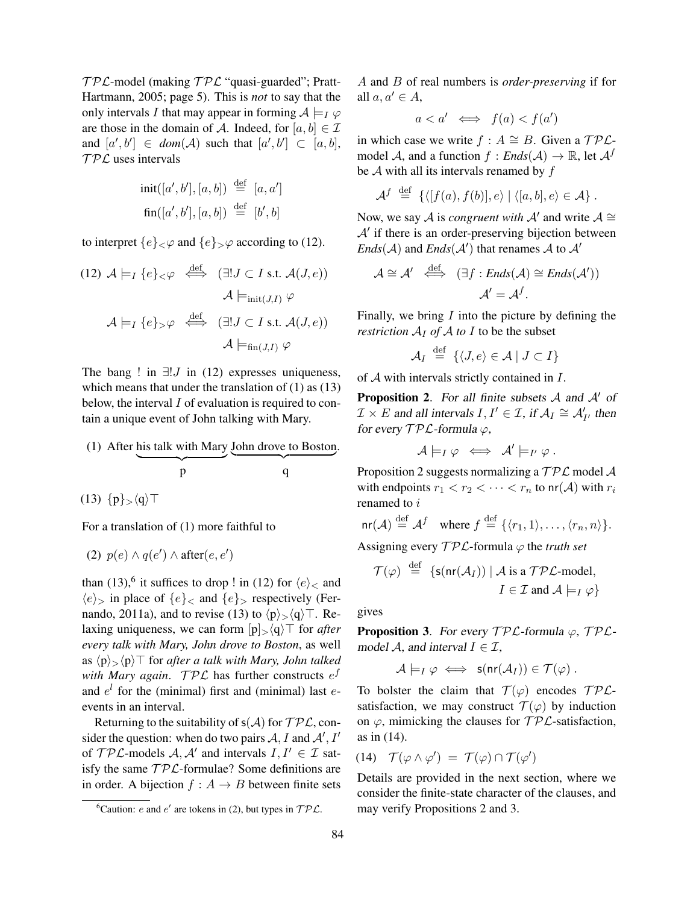$TPL$ -model (making  $TPL$  "quasi-guarded"; Pratt-Hartmann, 2005; page 5). This is *not* to say that the only intervals I that may appear in forming  $A \models_I \varphi$ are those in the domain of A. Indeed, for  $[a, b] \in \mathcal{I}$ and  $[a', b'] \in dom(\mathcal{A})$  such that  $[a', b'] \subset [a, b]$ ,  $TPL$  uses intervals

$$
\begin{aligned}\n\text{init}([a', b'], [a, b]) &\stackrel{\text{def}}{=} [a, a'] \\
\text{fin}([a', b'], [a, b]) &\stackrel{\text{def}}{=} [b', b]\n\end{aligned}
$$

to interpret  $\{e\}_\leq\varphi$  and  $\{e\}_\leq\varphi$  according to (12).

(12) 
$$
A \models_I \{e\} \prec \varphi \iff (\exists! J \subset I \text{ s.t. } A(J, e))
$$
  
\n $A \models_{\text{init}(J,I)} \varphi$   
\n $A \models_I \{e\} \prec \varphi \iff (\exists! J \subset I \text{ s.t. } A(J, e))$   
\n $A \models_{\text{fin}(J,I)} \varphi$ 

The bang ! in  $\exists! J$  in (12) expresses uniqueness, which means that under the translation of  $(1)$  as  $(13)$ below, the interval  $I$  of evaluation is required to contain a unique event of John talking with Mary.

(1) After his talk with Mary John drove to Boston. 
$$
p
$$
  $q$ 

(13)  $\{p\}\leftarrow\{q}\top$ 

For a translation of (1) more faithful to

(2) 
$$
p(e) \wedge q(e') \wedge \text{after}(e, e')
$$

than (13),<sup>6</sup> it suffices to drop ! in (12) for  $\langle e \rangle$  and  $\langle e \rangle$ , in place of  $\{e\}$ , and  $\{e\}$ , respectively (Fernando, 2011a), and to revise (13) to  $\langle p \rangle > \langle q \rangle$ . Relaxing uniqueness, we can form  $[p]_{\geq}(q)$ <sup>T</sup> for *after every talk with Mary, John drove to Boston*, as well as  $\langle p \rangle$ ,  $\langle p \rangle$  for *after a talk with Mary, John talked* with *Mary again*.  $\mathcal{TPL}$  has further constructs  $e^f$ and  $e^{l}$  for the (minimal) first and (minimal) last  $e$ events in an interval.

Returning to the suitability of  $s(A)$  for  $TPL$ , consider the question: when do two pairs  $A, I$  and  $A', I'$ of  $TP\mathcal{L}\text{-models } \mathcal{A}, \mathcal{A}'$  and intervals  $I, I' \in \mathcal{I}$  satisfy the same  $TPL$ -formulae? Some definitions are in order. A bijection  $f : A \rightarrow B$  between finite sets A and B of real numbers is *order-preserving* if for all  $a, a' \in A$ ,

$$
a < a' \iff f(a) < f(a')
$$

in which case we write  $f : A \cong B$ . Given a  $TPL$ model A, and a function  $f : Ends(\mathcal{A}) \to \mathbb{R}$ , let  $\mathcal{A}^f$ be  $A$  with all its intervals renamed by  $f$ 

$$
\mathcal{A}^f \stackrel{\text{def}}{=} \left\{ \langle [f(a), f(b)], e \rangle \mid \langle [a, b], e \rangle \in \mathcal{A} \right\}.
$$

Now, we say A is *congruent with* A' and write  $A \cong$  $A'$  if there is an order-preserving bijection between  $Ends(\mathcal{A})$  and  $Ends(\mathcal{A}')$  that renames  $\mathcal A$  to  $\mathcal A'$ 

$$
\mathcal{A} \cong \mathcal{A}' \iff (\exists f : \mathit{Ends}(\mathcal{A}) \cong \mathit{Ends}(\mathcal{A}'))
$$

$$
\mathcal{A}' = \mathcal{A}^f.
$$

Finally, we bring  $I$  into the picture by defining the *restriction*  $A_I$  *of*  $A$  *to*  $I$  to be the subset

$$
\mathcal{A}_I \stackrel{\text{def}}{=} \{ \langle J, e \rangle \in \mathcal{A} \mid J \subset I \}
$$

of A with intervals strictly contained in I.

**Proposition 2.** For all finite subsets  $A$  and  $A'$  of  $\mathcal{I} \times E$  and all intervals  $I, I' \in \mathcal{I}$ , if  $\mathcal{A}_I \cong \mathcal{A}'_{I'}$  then for every  $TPL$ -formula  $\varphi$ ,

$$
\mathcal{A}\models_I \varphi \iff \mathcal{A}'\models_{I'} \varphi.
$$

Proposition 2 suggests normalizing a  $\mathcal{TPL}$  model A with endpoints  $r_1 < r_2 < \cdots < r_n$  to  $\text{nr}(\mathcal{A})$  with  $r_i$ renamed to i

$$
\mathsf{nr}(\mathcal{A}) \stackrel{\text{def}}{=} \mathcal{A}^f \quad \text{where } f \stackrel{\text{def}}{=} \{ \langle r_1, 1 \rangle, \dots, \langle r_n, n \rangle \}.
$$

Assigning every  $\mathcal{TPL}$ -formula  $\varphi$  the *truth set* 

$$
\mathcal{T}(\varphi) \stackrel{\text{def}}{=} \{ \mathsf{s}(\mathsf{nr}(\mathcal{A}_I)) \mid \mathcal{A} \text{ is a } \mathcal{TPL}\text{-model},
$$
\n
$$
I \in \mathcal{I} \text{ and } \mathcal{A} \models_I \varphi \}
$$

gives

**Proposition 3.** For every  $TPL$ -formula  $\varphi$ ,  $TPL$ model A, and interval  $I \in \mathcal{I}$ ,

$$
\mathcal{A}\models_I \varphi \iff \mathsf{s}(\mathsf{nr}(\mathcal{A}_I)) \in \mathcal{T}(\varphi).
$$

To bolster the claim that  $T(\varphi)$  encodes  $TPL$ satisfaction, we may construct  $\mathcal{T}(\varphi)$  by induction on  $\varphi$ , mimicking the clauses for  $\mathcal{TPL}$ -satisfaction, as in (14).

$$
(14) \quad \mathcal{T}(\varphi \wedge \varphi') \ = \ \mathcal{T}(\varphi) \cap \mathcal{T}(\varphi')
$$

Details are provided in the next section, where we consider the finite-state character of the clauses, and may verify Propositions 2 and 3.

<sup>&</sup>lt;sup>6</sup>Caution: *e* and *e'* are tokens in (2), but types in  $TPL$ .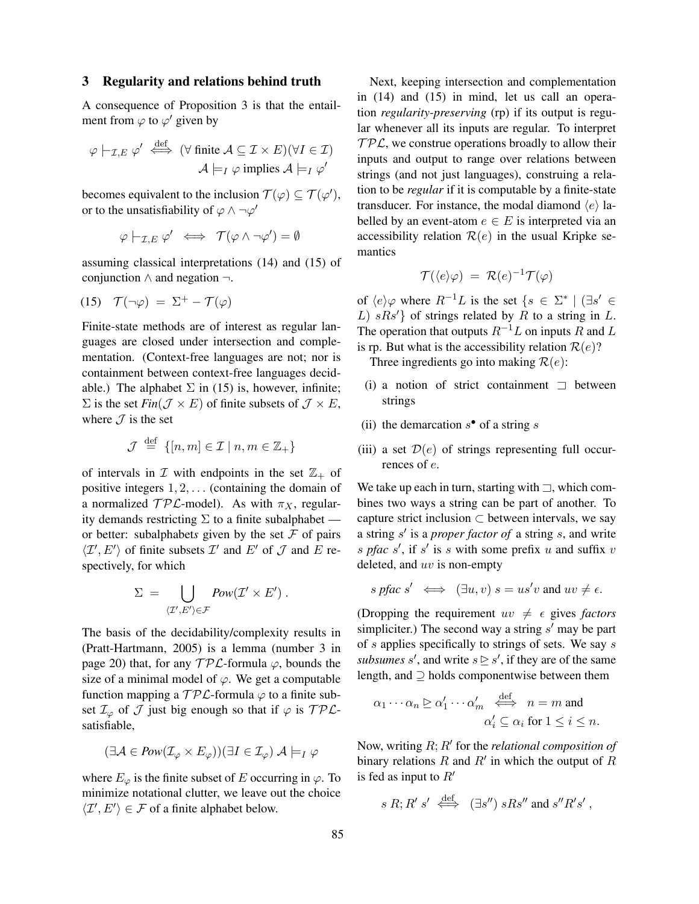#### 3 Regularity and relations behind truth

A consequence of Proposition 3 is that the entailment from  $\varphi$  to  $\varphi'$  given by

$$
\varphi \mid_{\mathcal{I},E} \varphi' \stackrel{\text{def}}{\iff} (\forall \text{ finite } \mathcal{A} \subseteq \mathcal{I} \times E)(\forall I \in \mathcal{I})
$$

$$
\mathcal{A} \models_I \varphi \text{ implies } \mathcal{A} \models_I \varphi'
$$

becomes equivalent to the inclusion  $\mathcal{T}(\varphi) \subseteq \mathcal{T}(\varphi')$ , or to the unsatisfiability of  $\varphi \wedge \neg \varphi'$ 

$$
\varphi \models_{\mathcal{I},E} \varphi' \iff \mathcal{T}(\varphi \land \neg \varphi') = \emptyset
$$

assuming classical interpretations (14) and (15) of conjunction ∧ and negation ¬.

$$
(15) \quad \mathcal{T}(\neg \varphi) = \Sigma^+ - \mathcal{T}(\varphi)
$$

Finite-state methods are of interest as regular languages are closed under intersection and complementation. (Context-free languages are not; nor is containment between context-free languages decidable.) The alphabet  $\Sigma$  in (15) is, however, infinite;  $\Sigma$  is the set *Fin*( $\mathcal{J} \times E$ ) of finite subsets of  $\mathcal{J} \times E$ , where  $J$  is the set

$$
\mathcal{J} \stackrel{\text{def}}{=} \{ [n, m] \in \mathcal{I} \mid n, m \in \mathbb{Z}_+ \}
$$

of intervals in  $\mathcal I$  with endpoints in the set  $\mathbb{Z}_+$  of positive integers  $1, 2, \ldots$  (containing the domain of a normalized  $TP\mathcal{L}\text{-model}$ . As with  $\pi_X$ , regularity demands restricting  $\Sigma$  to a finite subalphabet or better: subalphabets given by the set  $\mathcal F$  of pairs  $\langle \mathcal{I}', E' \rangle$  of finite subsets  $\mathcal{I}'$  and  $E'$  of  $\mathcal{J}$  and  $E$  respectively, for which

$$
\Sigma = \bigcup_{\langle \mathcal{I}', E' \rangle \in \mathcal{F}} \text{Pow}(\mathcal{I}' \times E') .
$$

The basis of the decidability/complexity results in (Pratt-Hartmann, 2005) is a lemma (number 3 in page 20) that, for any  $\mathcal{TPL}$ -formula  $\varphi$ , bounds the size of a minimal model of  $\varphi$ . We get a computable function mapping a  $TPL$ -formula  $\varphi$  to a finite subset  $\mathcal{I}_{\varphi}$  of  $\mathcal J$  just big enough so that if  $\varphi$  is  $\mathcal{TPL}$ satisfiable,

$$
(\exists \mathcal{A} \in \text{Pow}(\mathcal{I}_{\varphi} \times E_{\varphi}))(\exists I \in \mathcal{I}_{\varphi}) \mathcal{A} \models_I \varphi
$$

where  $E_{\varphi}$  is the finite subset of E occurring in  $\varphi$ . To minimize notational clutter, we leave out the choice  $\langle \mathcal{I}', E' \rangle \in \mathcal{F}$  of a finite alphabet below.

Next, keeping intersection and complementation in (14) and (15) in mind, let us call an operation *regularity-preserving* (rp) if its output is regular whenever all its inputs are regular. To interpret  $TPL$ , we construe operations broadly to allow their inputs and output to range over relations between strings (and not just languages), construing a relation to be *regular* if it is computable by a finite-state transducer. For instance, the modal diamond  $\langle e \rangle$  labelled by an event-atom  $e \in E$  is interpreted via an accessibility relation  $\mathcal{R}(e)$  in the usual Kripke semantics

$$
\mathcal{T}(\langle e \rangle \varphi) = \mathcal{R}(e)^{-1} \mathcal{T}(\varphi)
$$

of  $\langle e \rangle \varphi$  where  $R^{-1}L$  is the set  $\{s \in \Sigma^* \mid (\exists s' \in$ L)  $sRs'$ } of strings related by R to a string in L. The operation that outputs  $R^{-1}L$  on inputs R and L is rp. But what is the accessibility relation  $\mathcal{R}(e)$ ?

Three ingredients go into making  $\mathcal{R}(e)$ :

- (i) a notion of strict containment  $\Box$  between strings
- (ii) the demarcation  $s^{\bullet}$  of a string s
- (iii) a set  $\mathcal{D}(e)$  of strings representing full occurrences of e.

We take up each in turn, starting with  $\Box$ , which combines two ways a string can be part of another. To capture strict inclusion  $\subset$  between intervals, we say a string s' is a *proper factor of* a string s, and write s pfac  $s'$ , if  $s'$  is s with some prefix u and suffix v deleted, and uv is non-empty

$$
s \text{ pfac } s' \iff (\exists u, v) \text{ } s = us'v \text{ and } uv \neq \epsilon.
$$

(Dropping the requirement  $uv \neq \epsilon$  gives *factors* simpliciter.) The second way a string  $s'$  may be part of s applies specifically to strings of sets. We say s *subsumes* s', and write  $s \geq s'$ , if they are of the same length, and ⊇ holds componentwise between them

$$
\alpha_1 \cdots \alpha_n \trianglerighteq \alpha'_1 \cdots \alpha'_m \stackrel{\text{def}}{\iff} n = m \text{ and}
$$

$$
\alpha'_i \subseteq \alpha_i \text{ for } 1 \leq i \leq n.
$$

Now, writing  $R; R'$  for the *relational composition of* binary relations R and R' in which the output of R is fed as input to  $R'$ 

$$
s R; R' s' \stackrel{\text{def}}{\iff} (\exists s'') s R s'' \text{ and } s'' R' s',
$$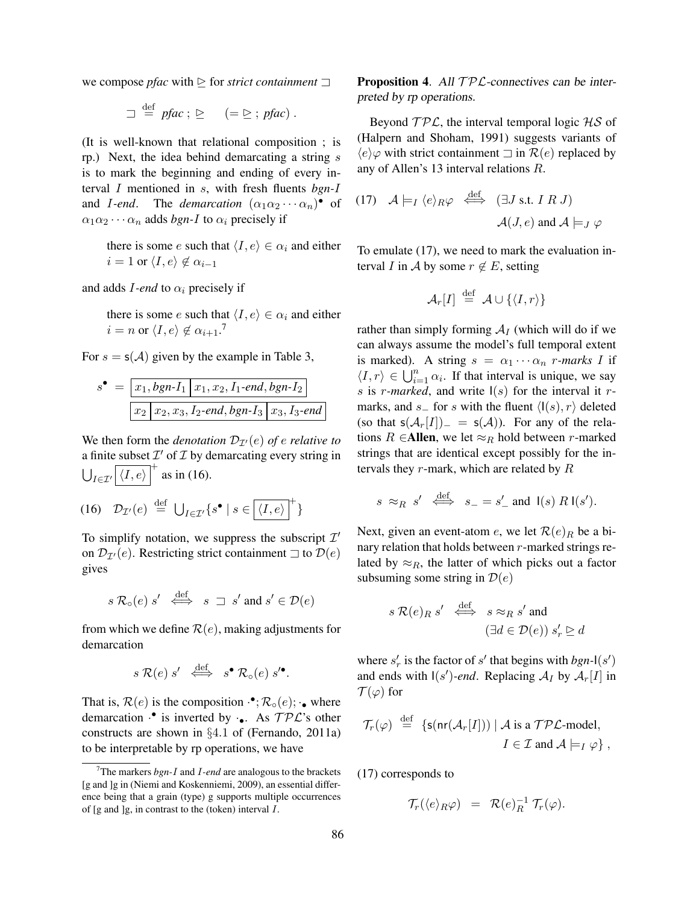we compose *pfac* with  $\geq$  for *strict containment*  $\sqsupset$ 

$$
\Box \stackrel{\text{def}}{=} \text{pfac}; \, \, \underline{\triangleright} \quad (= \underline{\triangleright}; \text{pfac}).
$$

(It is well-known that relational composition ; is rp.) Next, the idea behind demarcating a string  $s$ is to mark the beginning and ending of every interval I mentioned in s, with fresh fluents *bgn-*I and *I-end*. The *demarcation*  $(\alpha_1 \alpha_2 \cdots \alpha_n)$  of  $\alpha_1 \alpha_2 \cdots \alpha_n$  adds *bgn-I* to  $\alpha_i$  precisely if

there is some e such that  $\langle I, e \rangle \in \alpha_i$  and either  $i = 1$  or  $\langle I, e \rangle \notin \alpha_{i-1}$ 

and adds  $I$ *-end* to  $\alpha_i$  precisely if

there is some e such that  $\langle I, e \rangle \in \alpha_i$  and either  $i = n \text{ or } \langle I, e \rangle \notin \alpha_{i+1}.^7$ 

For  $s = s(A)$  given by the example in Table 3,

$$
s^{\bullet} = \boxed{x_1, bgn-I_1 | x_1, x_2, I_1-end, bgn-I_2}
$$
  

$$
x_2 | x_2, x_3, I_2-end, bgn-I_3 | x_3, I_3-end
$$

We then form the *denotation*  $\mathcal{D}_{\mathcal{I}'}(e)$  *of e relative to* a finite subset  $\mathcal{I}'$  of  $\mathcal I$  by demarcating every string in  $\bigcup_{I \in \mathcal{I}'} \left[ \langle I, e \rangle \right]^+$  as in (16).

$$
(16) \quad \mathcal{D}_{\mathcal{I}'}(e) \stackrel{\text{def}}{=} \bigcup_{I \in \mathcal{I}'} \{s^{\bullet} \mid s \in \boxed{\langle I, e \rangle}^+\}
$$

To simplify notation, we suppress the subscript  $\mathcal{I}'$ on  $\mathcal{D}_{\mathcal{I}'}(e)$ . Restricting strict containment  $\Box$  to  $\mathcal{D}(e)$ gives

$$
s \mathcal{R}_{\circ}(e) s' \iff s \supset s' \text{ and } s' \in \mathcal{D}(e)
$$

from which we define  $\mathcal{R}(e)$ , making adjustments for demarcation

$$
s \mathcal{R}(e) s' \iff s^{\bullet} \mathcal{R}_{\circ}(e) s'^{\bullet}.
$$

That is,  $\mathcal{R}(e)$  is the composition  $\cdot^{\bullet}$ ;  $\mathcal{R}_{\circ}(e)$ ;  $\cdot_{\bullet}$  where demarcation  $\cdot$  is inverted by  $\cdot \bullet$ . As  $TPL$ 's other constructs are shown in §4.1 of (Fernando, 2011a) to be interpretable by rp operations, we have

**Proposition 4.** All  $TPL$ -connectives can be interpreted by rp operations.

Beyond  $TPL$ , the interval temporal logic  $HS$  of (Halpern and Shoham, 1991) suggests variants of  $\langle e \rangle\varphi$  with strict containment  $\Box$  in  $\mathcal{R}(e)$  replaced by any of Allen's 13 interval relations R.

(17) 
$$
\mathcal{A} \models_I \langle e \rangle_R \varphi \stackrel{\text{def}}{\iff} (\exists J \text{ s.t. } I \ R \ J)
$$
  
 $\mathcal{A}(J, e) \text{ and } \mathcal{A} \models_J \varphi$ 

To emulate (17), we need to mark the evaluation interval I in A by some  $r \notin E$ , setting

$$
\mathcal{A}_r[I] \stackrel{\text{def}}{=} \mathcal{A} \cup \{\langle I,r\rangle\}
$$

rather than simply forming  $A_I$  (which will do if we can always assume the model's full temporal extent is marked). A string  $s = \alpha_1 \cdots \alpha_n$  *r*-marks I if  $\langle I, r \rangle \in \bigcup_{i=1}^n \alpha_i$ . If that interval is unique, we say s is r-marked, and write  $I(s)$  for the interval it rmarks, and s\_ for s with the fluent  $\langle I(s), r \rangle$  deleted (so that  $s(A_r[I]) = s(A)$ ). For any of the relations R ∈Allen, we let  $\approx_R$  hold between r-marked strings that are identical except possibly for the intervals they  $r$ -mark, which are related by  $R$ 

$$
s \approx_R s' \stackrel{\text{def}}{\iff} s_- = s'_
$$
 and  $\mathsf{I}(s) \mathsf{R} \mathsf{I}(s').$ 

Next, given an event-atom e, we let  $\mathcal{R}(e)_R$  be a binary relation that holds between  $r$ -marked strings related by  $\approx_R$ , the latter of which picks out a factor subsuming some string in  $\mathcal{D}(e)$ 

$$
s \mathcal{R}(e)_R s' \stackrel{\text{def}}{\iff} s \approx_R s' \text{ and}
$$

$$
(\exists d \in \mathcal{D}(e)) s'_r \trianglerighteq d
$$

where  $s'_r$  is the factor of s' that begins with  $bgn$ - $(s')$ and ends with  $I(s')$ -end. Replacing  $A_I$  by  $A_r[I]$  in  $\mathcal{T}(\varphi)$  for

$$
\mathcal{T}_r(\varphi) \stackrel{\text{def}}{=} \{ \mathsf{s}(\mathsf{nr}(\mathcal{A}_r[I])) \mid \mathcal{A} \text{ is a } \mathcal{TPL}\text{-model},
$$

$$
I \in \mathcal{I} \text{ and } \mathcal{A} \models_I \varphi \},
$$

(17) corresponds to

$$
\mathcal{T}_r(\langle e \rangle_R \varphi) = \mathcal{R}(e)_R^{-1} \mathcal{T}_r(\varphi).
$$

<sup>7</sup>The markers *bgn-*I and I*-end* are analogous to the brackets [g and ]g in (Niemi and Koskenniemi, 2009), an essential difference being that a grain (type) g supports multiple occurrences of  $[g$  and  $]g$ , in contrast to the (token) interval  $I$ .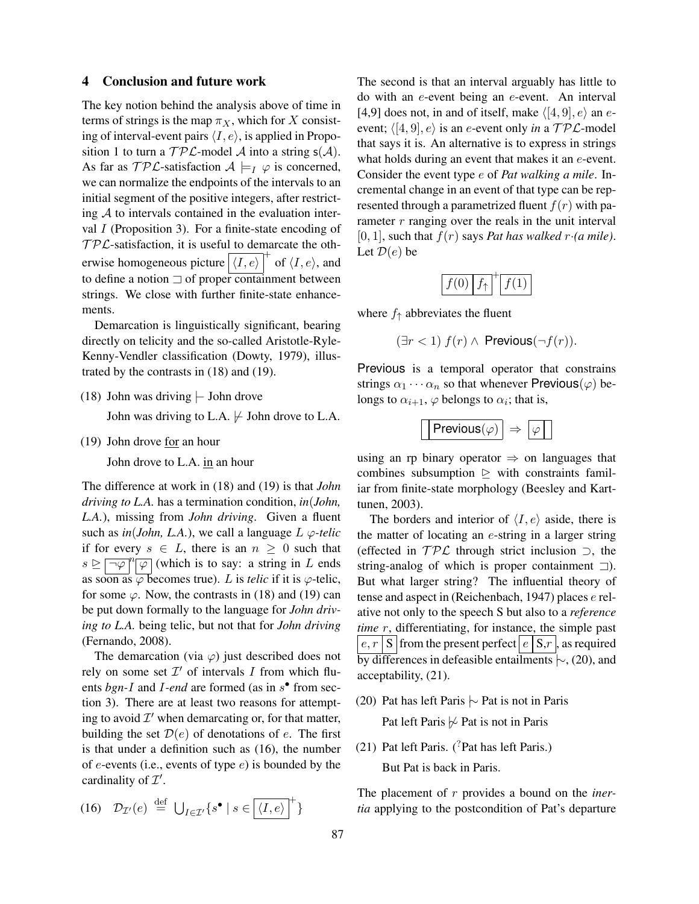## 4 Conclusion and future work

The key notion behind the analysis above of time in terms of strings is the map  $\pi_X$ , which for X consisting of interval-event pairs  $\langle I, e \rangle$ , is applied in Proposition 1 to turn a  $\mathcal{TPL}\text{-model } \mathcal{A}$  into a string  $s(\mathcal{A})$ . As far as  $\mathcal{TPL}$ -satisfaction  $\mathcal{A} \models_I \varphi$  is concerned, we can normalize the endpoints of the intervals to an initial segment of the positive integers, after restricting  $A$  to intervals contained in the evaluation interval  $I$  (Proposition 3). For a finite-state encoding of  $TPL$ -satisfaction, it is useful to demarcate the otherwise homogeneous picture  $(\langle I, e \rangle)^+$  of  $\langle I, e \rangle$ , and to define a notion  $\Box$  of proper containment between strings. We close with further finite-state enhancements.

Demarcation is linguistically significant, bearing directly on telicity and the so-called Aristotle-Ryle-Kenny-Vendler classification (Dowty, 1979), illustrated by the contrasts in (18) and (19).

(18) John was driving |− John drove

John was driving to L.A.  $\not\vdash$  John drove to L.A.

(19) John drove for an hour

John drove to L.A. in an hour

The difference at work in (18) and (19) is that *John driving to L.A.* has a termination condition, *in*(*John, L.A.*), missing from *John driving*. Given a fluent such as  $in(John, L.A.)$ , we call a language  $L \varphi$ -telic if for every  $s \in L$ , there is an  $n \geq 0$  such that  $s \trianglerighteq \boxed{\neg \varphi}^n \boxed{\varphi}$  (which is to say: a string in L ends as soon as  $\overline{\varphi}$  becomes true). L is *telic* if it is  $\varphi$ -telic, for some  $\varphi$ . Now, the contrasts in (18) and (19) can be put down formally to the language for *John driving to L.A.* being telic, but not that for *John driving* (Fernando, 2008).

The demarcation (via  $\varphi$ ) just described does not rely on some set  $\mathcal{I}'$  of intervals I from which fluents *bgn-I* and *I-end* are formed (as in  $s^{\bullet}$  from section 3). There are at least two reasons for attempting to avoid  $\mathcal{I}'$  when demarcating or, for that matter, building the set  $\mathcal{D}(e)$  of denotations of e. The first is that under a definition such as (16), the number of  $e$ -events (i.e., events of type  $e$ ) is bounded by the cardinality of  $\mathcal{I}'$ .

$$
(16) \quad \mathcal{D}_{\mathcal{I}'}(e) \stackrel{\text{def}}{=} \bigcup_{I \in \mathcal{I}'} \{s^{\bullet} \mid s \in \boxed{\langle I, e \rangle}^+\}
$$

The second is that an interval arguably has little to do with an e-event being an e-event. An interval [4,9] does not, in and of itself, make  $\langle [4, 9], e \rangle$  an eevent;  $\langle [4, 9], e \rangle$  is an *e*-event only *in* a  $TP\mathcal{L}\text{-model}$ that says it is. An alternative is to express in strings what holds during an event that makes it an *e*-event. Consider the event type e of *Pat walking a mile*. Incremental change in an event of that type can be represented through a parametrized fluent  $f(r)$  with parameter  $r$  ranging over the reals in the unit interval  $[0, 1]$ , such that  $f(r)$  says *Pat has walked*  $r \cdot (a$  *mile*). Let  $\mathcal{D}(e)$  be

|--|--|--|

where  $f_{\uparrow}$  abbreviates the fluent

$$
(\exists r < 1) \ f(r) \land \ \text{Previous}(\neg f(r)).
$$

Previous is a temporal operator that constrains strings  $\alpha_1 \cdots \alpha_n$  so that whenever Previous( $\varphi$ ) belongs to  $\alpha_{i+1}$ ,  $\varphi$  belongs to  $\alpha_i$ ; that is,

$$
\boxed{\big|\mathsf{Previous}(\varphi)\big| \Rightarrow \big|\varphi\big|}
$$

using an rp binary operator  $\Rightarrow$  on languages that combines subsumption  $\triangleright$  with constraints familiar from finite-state morphology (Beesley and Karttunen, 2003).

The borders and interior of  $\langle I, e \rangle$  aside, there is the matter of locating an e-string in a larger string (effected in  $TPL$  through strict inclusion ⊃, the string-analog of which is proper containment  $\Box$ ). But what larger string? The influential theory of tense and aspect in (Reichenbach, 1947) places e relative not only to the speech S but also to a *reference time* r, differentiating, for instance, the simple past  $e, r \mid S$  from the present perfect  $\mid e \mid S, r \mid$ , as required by differences in defeasible entailments |∼, (20), and acceptability, (21).

- (20) Pat has left Paris |∼ Pat is not in Paris Pat left Paris  $\frac{1}{\sqrt{2}}$  Pat is not in Paris
- (21) Pat left Paris. ( ${}^{7}$ Pat has left Paris.) But Pat is back in Paris.

The placement of r provides a bound on the *inertia* applying to the postcondition of Pat's departure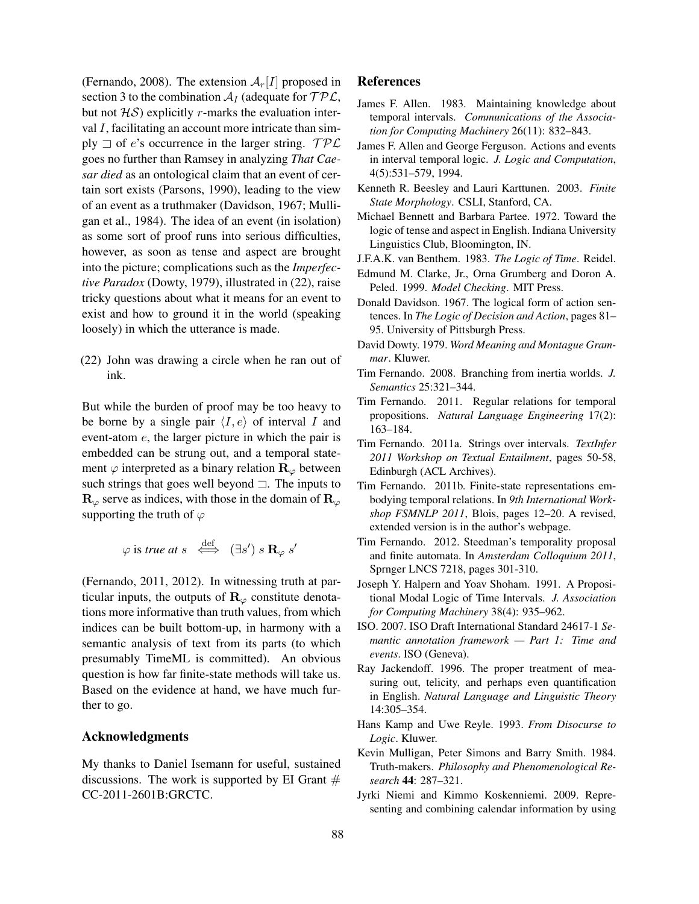(Fernando, 2008). The extension  $A_r[I]$  proposed in section 3 to the combination  $A_I$  (adequate for  $TPL$ , but not  $H\mathcal{S}$ ) explicitly r-marks the evaluation interval I, facilitating an account more intricate than simply  $\exists$  of e's occurrence in the larger string. TPL goes no further than Ramsey in analyzing *That Caesar died* as an ontological claim that an event of certain sort exists (Parsons, 1990), leading to the view of an event as a truthmaker (Davidson, 1967; Mulligan et al., 1984). The idea of an event (in isolation) as some sort of proof runs into serious difficulties, however, as soon as tense and aspect are brought into the picture; complications such as the *Imperfective Paradox* (Dowty, 1979), illustrated in (22), raise tricky questions about what it means for an event to exist and how to ground it in the world (speaking loosely) in which the utterance is made.

(22) John was drawing a circle when he ran out of ink.

But while the burden of proof may be too heavy to be borne by a single pair  $\langle I, e \rangle$  of interval I and event-atom e, the larger picture in which the pair is embedded can be strung out, and a temporal statement  $\varphi$  interpreted as a binary relation  $\mathbf{R}_{\varphi}$  between such strings that goes well beyond  $\Box$ . The inputs to  $\mathbf{R}_{\varphi}$  serve as indices, with those in the domain of  $\mathbf{R}_{\varphi}$ supporting the truth of  $\varphi$ 

$$
\varphi
$$
 is true at  $s \iff (\exists s') \ s \mathbf{R}_{\varphi} s'$ 

(Fernando, 2011, 2012). In witnessing truth at particular inputs, the outputs of  $\mathbf{R}_{\varphi}$  constitute denotations more informative than truth values, from which indices can be built bottom-up, in harmony with a semantic analysis of text from its parts (to which presumably TimeML is committed). An obvious question is how far finite-state methods will take us. Based on the evidence at hand, we have much further to go.

### Acknowledgments

My thanks to Daniel Isemann for useful, sustained discussions. The work is supported by EI Grant  $#$ CC-2011-2601B:GRCTC.

## References

- James F. Allen. 1983. Maintaining knowledge about temporal intervals. *Communications of the Association for Computing Machinery* 26(11): 832–843.
- James F. Allen and George Ferguson. Actions and events in interval temporal logic. *J. Logic and Computation*, 4(5):531–579, 1994.
- Kenneth R. Beesley and Lauri Karttunen. 2003. *Finite State Morphology*. CSLI, Stanford, CA.
- Michael Bennett and Barbara Partee. 1972. Toward the logic of tense and aspect in English. Indiana University Linguistics Club, Bloomington, IN.
- J.F.A.K. van Benthem. 1983. *The Logic of Time*. Reidel.
- Edmund M. Clarke, Jr., Orna Grumberg and Doron A. Peled. 1999. *Model Checking*. MIT Press.
- Donald Davidson. 1967. The logical form of action sentences. In *The Logic of Decision and Action*, pages 81– 95. University of Pittsburgh Press.
- David Dowty. 1979. *Word Meaning and Montague Grammar*. Kluwer.
- Tim Fernando. 2008. Branching from inertia worlds. *J. Semantics* 25:321–344.
- Tim Fernando. 2011. Regular relations for temporal propositions. *Natural Language Engineering* 17(2): 163–184.
- Tim Fernando. 2011a. Strings over intervals. *TextInfer 2011 Workshop on Textual Entailment*, pages 50-58, Edinburgh (ACL Archives).
- Tim Fernando. 2011b. Finite-state representations embodying temporal relations. In *9th International Workshop FSMNLP 2011*, Blois, pages 12–20. A revised, extended version is in the author's webpage.
- Tim Fernando. 2012. Steedman's temporality proposal and finite automata. In *Amsterdam Colloquium 2011*, Sprnger LNCS 7218, pages 301-310.
- Joseph Y. Halpern and Yoav Shoham. 1991. A Propositional Modal Logic of Time Intervals. *J. Association for Computing Machinery* 38(4): 935–962.
- ISO. 2007. ISO Draft International Standard 24617-1 *Semantic annotation framework — Part 1: Time and events*. ISO (Geneva).
- Ray Jackendoff. 1996. The proper treatment of measuring out, telicity, and perhaps even quantification in English. *Natural Language and Linguistic Theory* 14:305–354.
- Hans Kamp and Uwe Reyle. 1993. *From Disocurse to Logic*. Kluwer.
- Kevin Mulligan, Peter Simons and Barry Smith. 1984. Truth-makers. *Philosophy and Phenomenological Research* 44: 287–321.
- Jyrki Niemi and Kimmo Koskenniemi. 2009. Representing and combining calendar information by using